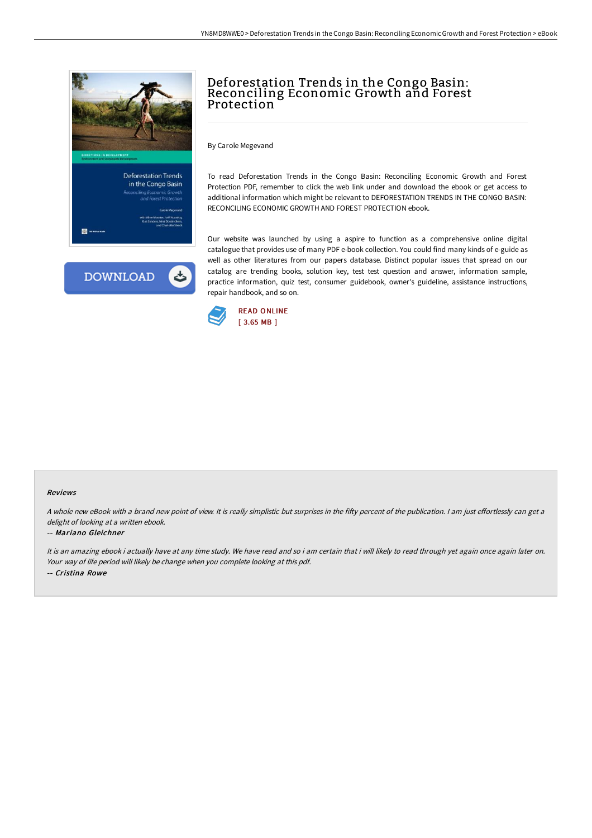



# Deforestation Trends in the Congo Basin: Reconciling Economic Growth and Forest Protection

By Carole Megevand

To read Deforestation Trends in the Congo Basin: Reconciling Economic Growth and Forest Protection PDF, remember to click the web link under and download the ebook or get access to additional information which might be relevant to DEFORESTATION TRENDS IN THE CONGO BASIN: RECONCILING ECONOMIC GROWTH AND FOREST PROTECTION ebook.

Our website was launched by using a aspire to function as a comprehensive online digital catalogue that provides use of many PDF e-book collection. You could find many kinds of e-guide as well as other literatures from our papers database. Distinct popular issues that spread on our catalog are trending books, solution key, test test question and answer, information sample, practice information, quiz test, consumer guidebook, owner's guideline, assistance instructions, repair handbook, and so on.



#### Reviews

A whole new eBook with a brand new point of view. It is really simplistic but surprises in the fifty percent of the publication. I am just effortlessly can get a delight of looking at a written ebook.

### -- Mariano Gleichner

It is an amazing ebook i actually have at any time study. We have read and so i am certain that i will likely to read through yet again once again later on. Your way of life period will likely be change when you complete looking at this pdf. -- Cristina Rowe